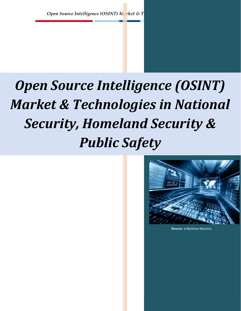# Open Source Intelligence (OSINT) Market & Technologies in National Security, Homeland Security & Public Safety



Source: e-Martinez Mauricio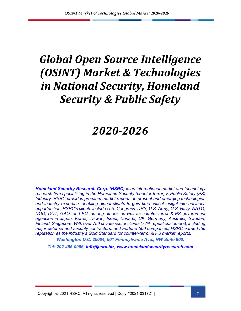## Global Open Source Intelligence (OSINT) Market & Technologies in National Security, Homeland Security & Public Safety

### 2020-2026

**Homeland Security Research Corp. (HSRC)** is an international market and technology research firm specializing in the Homeland Security (counter-terror) & Public Safety (PS) Industry. HSRC provides premium market reports on present and emerging technologies and industry expertise, enabling global clients to gain time-critical insight into business opportunities. HSRC's clients include U.S. Congress, DHS, U.S. Army, U.S. Navy, NATO, DOD, DOT, GAO, and EU, among others; as well as counter-terror & PS government agencies in Japan, Korea, Taiwan, Israel, Canada, UK, Germany, Australia, Sweden, Finland, Singapore. With over 750 private sector clients (72% repeat customers), including major defense and security contractors, and Fortune 500 companies, HSRC earned the reputation as the industry's Gold Standard for counter-terror & PS market reports. Washington D.C. 20004, 601 Pennsylvania Ave., NW Suite 900,

Tel: 202-455-0966, info@hsrc.biz, www.homelandsecurityresearch.com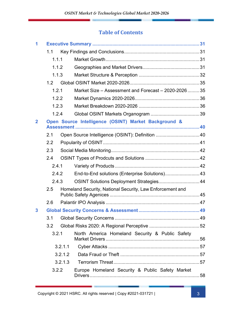#### Table of Contents

|                | 1.1   |         |                                                           |  |
|----------------|-------|---------|-----------------------------------------------------------|--|
|                | 1.1.1 |         |                                                           |  |
|                | 1.1.2 |         |                                                           |  |
|                | 1.1.3 |         |                                                           |  |
|                | 1.2   |         |                                                           |  |
|                | 1.2.1 |         | Market Size – Assessment and Forecast – 2020-2026  35     |  |
|                | 1.2.2 |         |                                                           |  |
|                | 1.2.3 |         |                                                           |  |
|                | 1.2.4 |         |                                                           |  |
| $\overline{2}$ |       |         | Open Source Intelligence (OSINT) Market Background &      |  |
|                | 2.1   |         | Open Source Intelligence (OSINT): Definition 40           |  |
|                | 2.2   |         |                                                           |  |
|                | 2.3   |         |                                                           |  |
|                | 2.4   |         |                                                           |  |
|                | 2.4.1 |         |                                                           |  |
|                | 2.4.2 |         | End-to-End solutions (Enterprise Solutions) 43            |  |
|                | 2.4.3 |         | OSINT Solutions Deployment Strategies 44                  |  |
|                | 2.5   |         | Homeland Security, National Security, Law Enforcement and |  |
|                | 2.6   |         |                                                           |  |
| $\mathbf{3}$   |       |         |                                                           |  |
|                | 3.1   |         |                                                           |  |
|                | 3.2   |         |                                                           |  |
|                | 3.2.1 |         | North America Homeland Security & Public Safety           |  |
|                |       | 3.2.1.1 |                                                           |  |
|                |       | 3.2.1.2 |                                                           |  |
|                |       | 3.2.1.3 |                                                           |  |
|                | 3.2.2 |         | Europe Homeland Security & Public Safety Market           |  |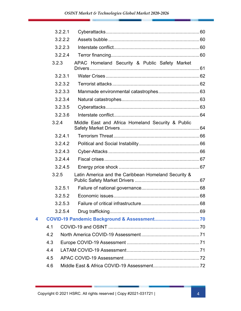|   | 3.2.2.1 |                                                     |  |
|---|---------|-----------------------------------------------------|--|
|   | 3.2.2.2 |                                                     |  |
|   | 3.2.2.3 |                                                     |  |
|   | 3.2.2.4 |                                                     |  |
|   | 3.2.3   | APAC Homeland Security & Public Safety Market       |  |
|   | 3.2.3.1 |                                                     |  |
|   | 3.2.3.2 |                                                     |  |
|   | 3.2.3.3 |                                                     |  |
|   | 3.2.3.4 |                                                     |  |
|   | 3.2.3.5 |                                                     |  |
|   | 3.2.3.6 |                                                     |  |
|   | 3.2.4   | Middle East and Africa Homeland Security & Public   |  |
|   | 3.2.4.1 |                                                     |  |
|   | 3.2.4.2 |                                                     |  |
|   | 3.2.4.3 |                                                     |  |
|   | 3.2.4.4 |                                                     |  |
|   | 3.2.4.5 |                                                     |  |
|   | 3.2.5   | Latin America and the Caribbean Homeland Security & |  |
|   | 3.2.5.1 |                                                     |  |
|   | 3.2.5.2 |                                                     |  |
|   | 3.2.5.3 |                                                     |  |
|   | 3.2.5.4 |                                                     |  |
| 4 |         |                                                     |  |
|   | 4.1     |                                                     |  |
|   | 4.2     |                                                     |  |
|   | 4.3     |                                                     |  |
|   | 4.4     |                                                     |  |
|   | 4.5     |                                                     |  |
|   | 4.6     |                                                     |  |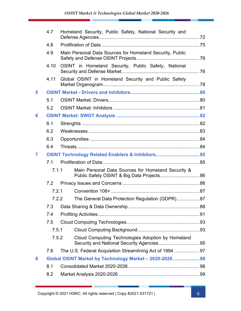|   | 4.7   |       | Homeland Security, Public Safety, National Security and                                          |  |
|---|-------|-------|--------------------------------------------------------------------------------------------------|--|
|   | 4.8   |       |                                                                                                  |  |
|   | 4.9   |       | Main Personal Data Sources for Homeland Security, Public                                         |  |
|   | 4.10  |       | OSINT in Homeland Security, Public Safety, National                                              |  |
|   | 4.11  |       | Global OSINT in Homeland Security and Public Safety                                              |  |
| 5 |       |       |                                                                                                  |  |
|   | 5.1   |       |                                                                                                  |  |
|   | 5.2   |       |                                                                                                  |  |
| 6 |       |       |                                                                                                  |  |
|   | 6.1   |       |                                                                                                  |  |
|   | 6.2   |       |                                                                                                  |  |
|   | 6.3   |       |                                                                                                  |  |
|   | 6.4   |       |                                                                                                  |  |
| 7 |       |       | OSINT Technology Related Enablers & Inhibitors 85                                                |  |
|   | 7.1   |       |                                                                                                  |  |
|   | 7.1.1 |       | Main Personal Data Sources for Homeland Security &<br>Public Safety OSINT & Big Data Projects 86 |  |
|   | 7.2   |       |                                                                                                  |  |
|   | 7.2.1 |       |                                                                                                  |  |
|   |       | 7.2.2 | The General Data Protection Regulation (GDPR) 87                                                 |  |
|   | 7.3   |       |                                                                                                  |  |
|   | 7.4   |       |                                                                                                  |  |
|   | 7.5   |       |                                                                                                  |  |
|   | 7.5.1 |       |                                                                                                  |  |
|   | 7.5.2 |       | Cloud Computing Technologies Adoption by Homeland                                                |  |
|   | 7.6   |       | The U.S. Federal Acquisition Streamlining Act of 1994 97                                         |  |
| 8 |       |       | Global OSINT Market by Technology Market - 2020-2026  98                                         |  |
|   | 8.1   |       |                                                                                                  |  |
|   | 8.2   |       |                                                                                                  |  |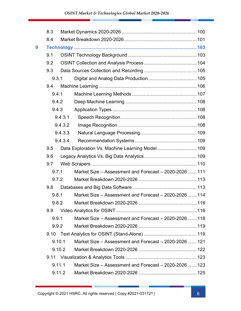|   | 8.3    |         |                                                        |     |
|---|--------|---------|--------------------------------------------------------|-----|
|   | 8.4    |         |                                                        |     |
| 9 |        |         |                                                        |     |
|   | 9.1    |         |                                                        |     |
|   | 9.2    |         |                                                        |     |
|   | 9.3    |         |                                                        |     |
|   | 9.3.1  |         |                                                        |     |
|   | 9.4    |         |                                                        |     |
|   | 9.4.1  |         |                                                        |     |
|   | 9.4.2  |         |                                                        |     |
|   | 9.4.3  |         |                                                        |     |
|   |        | 9.4.3.1 |                                                        |     |
|   |        | 9.4.3.2 |                                                        |     |
|   |        | 9.4.3.3 |                                                        |     |
|   |        | 9.4.3.4 |                                                        |     |
|   | 9.5    |         | Data Exploration Vs. Machine Learning Model 109        |     |
|   | 9.6    |         |                                                        |     |
|   | 9.7    |         |                                                        |     |
|   | 9.7.1  |         | Market Size - Assessment and Forecast - 2020-2026  111 |     |
|   | 9.7.2  |         |                                                        |     |
|   | 9.8    |         |                                                        |     |
|   | 9.8.1  |         | Market Size – Assessment and Forecast – 2020-2026  114 |     |
|   |        |         |                                                        | 116 |
|   | 9.9    |         |                                                        |     |
|   | 9.9.1  |         | Market Size – Assessment and Forecast – 2020-2026  118 |     |
|   | 9.9.2  |         |                                                        |     |
|   | 9.10   |         |                                                        |     |
|   | 9.10.1 |         | Market Size – Assessment and Forecast – 2020-2026  121 |     |
|   | 9.10.2 |         |                                                        |     |
|   |        |         |                                                        |     |
|   | 9.11.1 |         | Market Size – Assessment and Forecast – 2020-2026  123 |     |
|   | 9.11.2 |         |                                                        |     |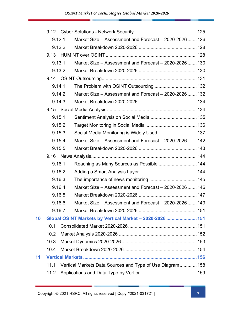|    |      | 9.12.1 | Market Size - Assessment and Forecast - 2020-2026  126    |  |
|----|------|--------|-----------------------------------------------------------|--|
|    |      | 9.12.2 |                                                           |  |
|    | 9.13 |        |                                                           |  |
|    |      | 9.13.1 | Market Size - Assessment and Forecast - 2020-2026  130    |  |
|    |      | 9.13.2 |                                                           |  |
|    |      |        |                                                           |  |
|    |      | 9.14.1 | The Problem with OSINT Outsourcing  132                   |  |
|    |      | 9.14.2 | Market Size – Assessment and Forecast – 2020-2026  132    |  |
|    |      | 9.14.3 |                                                           |  |
|    |      |        |                                                           |  |
|    |      | 9.15.1 |                                                           |  |
|    |      | 9.15.2 |                                                           |  |
|    |      | 9.15.3 | Social Media Monitoring is Widely Used 137                |  |
|    |      | 9.15.4 | Market Size – Assessment and Forecast – 2020-2026  142    |  |
|    |      | 9.15.5 |                                                           |  |
|    | 9.16 |        |                                                           |  |
|    |      | 9.16.1 | Reaching as Many Sources as Possible  144                 |  |
|    |      | 9.16.2 |                                                           |  |
|    |      | 9.16.3 |                                                           |  |
|    |      | 9.16.4 | Market Size – Assessment and Forecast – 2020-2026  146    |  |
|    |      | 9.16.5 |                                                           |  |
|    |      | 9.16.6 | Market Size - Assessment and Forecast - 2020-2026  149    |  |
|    |      | 9.16.7 |                                                           |  |
| 10 |      |        | Global OSINT Markets by Vertical Market - 2020-2026  151  |  |
|    | 10.1 |        |                                                           |  |
|    | 10.2 |        |                                                           |  |
|    | 10.3 |        |                                                           |  |
|    | 10.4 |        |                                                           |  |
| 11 |      |        |                                                           |  |
|    | 11.1 |        | Vertical Markets Data Sources and Type of Use Diagram 158 |  |
|    | 11.2 |        |                                                           |  |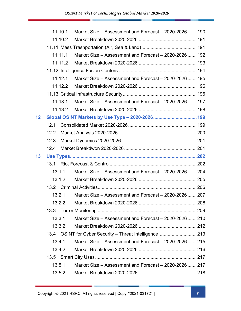|                 | 11.10.1 | Market Size - Assessment and Forecast - 2020-2026  190 |  |
|-----------------|---------|--------------------------------------------------------|--|
|                 | 11.10.2 |                                                        |  |
|                 |         |                                                        |  |
|                 | 11.11.1 | Market Size - Assessment and Forecast - 2020-2026  192 |  |
|                 | 11.11.2 |                                                        |  |
|                 |         |                                                        |  |
|                 | 11.12.1 | Market Size – Assessment and Forecast – 2020-2026  195 |  |
|                 | 11.12.2 |                                                        |  |
|                 |         |                                                        |  |
|                 | 11.13.1 | Market Size – Assessment and Forecast – 2020-2026  197 |  |
|                 |         |                                                        |  |
| 12 <sub>2</sub> |         |                                                        |  |
|                 | 12.1    |                                                        |  |
|                 | 12.2    |                                                        |  |
|                 | 12.3    |                                                        |  |
|                 |         |                                                        |  |
|                 | 12.4    |                                                        |  |
| 13              |         |                                                        |  |
|                 |         |                                                        |  |
|                 | 13.1.1  | Market Size - Assessment and Forecast - 2020-2026204   |  |
|                 | 13.1.2  |                                                        |  |
|                 |         |                                                        |  |
|                 | 13.2.1  | Market Size – Assessment and Forecast – 2020-2026207   |  |
|                 |         |                                                        |  |
|                 |         |                                                        |  |
|                 | 13.3.1  | Market Size – Assessment and Forecast – 2020-2026  210 |  |
|                 | 13.3.2  |                                                        |  |
|                 |         | 13.4 OSINT for Cyber Security - Threat Intelligence213 |  |
|                 | 13.4.1  | Market Size – Assessment and Forecast – 2020-2026  215 |  |
|                 | 13.4.2  |                                                        |  |
|                 |         |                                                        |  |
|                 | 13.5.1  | Market Size - Assessment and Forecast - 2020-2026217   |  |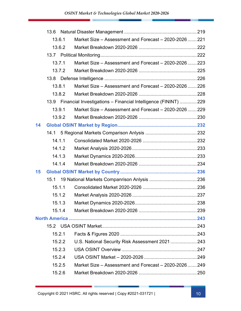| 13.6 |                                                                                                                                                                                                                          |                                                                                                                                                                                                                                                                                                                                                                                                                          |
|------|--------------------------------------------------------------------------------------------------------------------------------------------------------------------------------------------------------------------------|--------------------------------------------------------------------------------------------------------------------------------------------------------------------------------------------------------------------------------------------------------------------------------------------------------------------------------------------------------------------------------------------------------------------------|
|      |                                                                                                                                                                                                                          |                                                                                                                                                                                                                                                                                                                                                                                                                          |
|      |                                                                                                                                                                                                                          |                                                                                                                                                                                                                                                                                                                                                                                                                          |
|      |                                                                                                                                                                                                                          |                                                                                                                                                                                                                                                                                                                                                                                                                          |
|      |                                                                                                                                                                                                                          |                                                                                                                                                                                                                                                                                                                                                                                                                          |
|      |                                                                                                                                                                                                                          |                                                                                                                                                                                                                                                                                                                                                                                                                          |
|      |                                                                                                                                                                                                                          |                                                                                                                                                                                                                                                                                                                                                                                                                          |
|      |                                                                                                                                                                                                                          |                                                                                                                                                                                                                                                                                                                                                                                                                          |
|      |                                                                                                                                                                                                                          |                                                                                                                                                                                                                                                                                                                                                                                                                          |
|      |                                                                                                                                                                                                                          |                                                                                                                                                                                                                                                                                                                                                                                                                          |
|      |                                                                                                                                                                                                                          |                                                                                                                                                                                                                                                                                                                                                                                                                          |
|      |                                                                                                                                                                                                                          |                                                                                                                                                                                                                                                                                                                                                                                                                          |
|      |                                                                                                                                                                                                                          |                                                                                                                                                                                                                                                                                                                                                                                                                          |
|      |                                                                                                                                                                                                                          |                                                                                                                                                                                                                                                                                                                                                                                                                          |
|      |                                                                                                                                                                                                                          |                                                                                                                                                                                                                                                                                                                                                                                                                          |
|      |                                                                                                                                                                                                                          |                                                                                                                                                                                                                                                                                                                                                                                                                          |
|      |                                                                                                                                                                                                                          |                                                                                                                                                                                                                                                                                                                                                                                                                          |
|      |                                                                                                                                                                                                                          |                                                                                                                                                                                                                                                                                                                                                                                                                          |
|      |                                                                                                                                                                                                                          |                                                                                                                                                                                                                                                                                                                                                                                                                          |
| 15.1 |                                                                                                                                                                                                                          |                                                                                                                                                                                                                                                                                                                                                                                                                          |
|      |                                                                                                                                                                                                                          |                                                                                                                                                                                                                                                                                                                                                                                                                          |
|      |                                                                                                                                                                                                                          |                                                                                                                                                                                                                                                                                                                                                                                                                          |
|      |                                                                                                                                                                                                                          |                                                                                                                                                                                                                                                                                                                                                                                                                          |
|      |                                                                                                                                                                                                                          |                                                                                                                                                                                                                                                                                                                                                                                                                          |
|      |                                                                                                                                                                                                                          |                                                                                                                                                                                                                                                                                                                                                                                                                          |
|      |                                                                                                                                                                                                                          |                                                                                                                                                                                                                                                                                                                                                                                                                          |
|      |                                                                                                                                                                                                                          |                                                                                                                                                                                                                                                                                                                                                                                                                          |
|      |                                                                                                                                                                                                                          |                                                                                                                                                                                                                                                                                                                                                                                                                          |
|      |                                                                                                                                                                                                                          |                                                                                                                                                                                                                                                                                                                                                                                                                          |
|      |                                                                                                                                                                                                                          |                                                                                                                                                                                                                                                                                                                                                                                                                          |
|      |                                                                                                                                                                                                                          |                                                                                                                                                                                                                                                                                                                                                                                                                          |
|      |                                                                                                                                                                                                                          |                                                                                                                                                                                                                                                                                                                                                                                                                          |
|      | 13.6.1<br>13.6.2<br>13.7.1<br>13.7.2<br>13.8.1<br>13.8.2<br>13.9.1<br>13.9.2<br>14.1.1<br>14.1.2<br>14.1.3<br>14.1.4<br>15.1.1<br>15.1.2<br>15.1.3<br>15.1.4<br>15.2.1<br>15.2.2<br>15.2.3<br>15.2.4<br>15.2.5<br>15.2.6 | Market Size - Assessment and Forecast - 2020-2026  221<br>Market Size - Assessment and Forecast - 2020-2026  223<br>Market Size - Assessment and Forecast - 2020-2026  226<br>13.9 Financial Investigations - Financial Intelligence (FININT) 229<br>Market Size - Assessment and Forecast - 2020-2026  229<br>U.S. National Security Risk Assessment 2021 243<br>Market Size - Assessment and Forecast - 2020-2026  249 |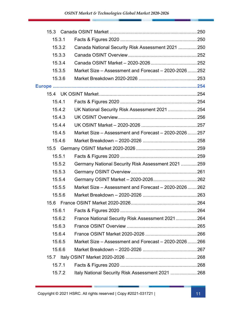|      | 15.3.1 |                                                        |     |
|------|--------|--------------------------------------------------------|-----|
|      | 15.3.2 | Canada National Security Risk Assessment 2021  250     |     |
|      | 15.3.3 |                                                        |     |
|      | 15.3.4 |                                                        |     |
|      | 15.3.5 | Market Size - Assessment and Forecast - 2020-2026  252 |     |
|      | 15.3.6 |                                                        |     |
|      |        |                                                        |     |
|      |        |                                                        |     |
|      | 15.4.1 |                                                        |     |
|      | 15.4.2 | UK National Security Risk Assessment 2021 254          |     |
|      | 15.4.3 |                                                        |     |
|      | 15.4.4 |                                                        |     |
|      | 15.4.5 | Market Size – Assessment and Forecast – 2020-2026  257 |     |
|      | 15.4.6 |                                                        |     |
|      |        |                                                        |     |
|      | 15.5.1 |                                                        |     |
|      | 15.5.2 | Germany National Security Risk Assessment 2021  259    |     |
|      | 15.5.3 |                                                        |     |
|      | 15.5.4 |                                                        |     |
|      | 15.5.5 | Market Size – Assessment and Forecast – 2020-2026  262 |     |
|      | 15.5.6 |                                                        |     |
|      |        |                                                        | 264 |
|      | 15.6.1 |                                                        |     |
|      | 15.6.2 | France National Security Risk Assessment 2021264       |     |
|      | 15.6.3 |                                                        |     |
|      | 15.6.4 |                                                        |     |
|      | 15.6.5 | Market Size – Assessment and Forecast – 2020-2026  266 |     |
|      | 15.6.6 |                                                        |     |
| 15.7 |        |                                                        |     |
|      | 15.7.1 |                                                        |     |
|      | 15.7.2 | Italy National Security Risk Assessment 2021 268       |     |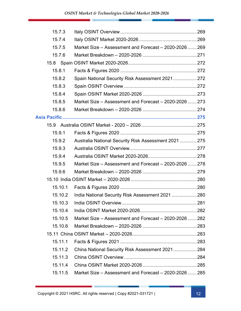|        | 15.7.3    |                                                        |      |
|--------|-----------|--------------------------------------------------------|------|
| 15.7.4 |           |                                                        |      |
|        | 15.7.5    | Market Size - Assessment and Forecast - 2020-2026  269 |      |
|        | 15.7.6    |                                                        |      |
|        |           |                                                        |      |
| 15.8.1 |           |                                                        |      |
|        | 15.8.2    | Spain National Security Risk Assessment 2021 272       |      |
|        | 15.8.3    |                                                        |      |
| 15.8.4 |           |                                                        |      |
|        | 15.8.5    | Market Size – Assessment and Forecast – 2020-2026273   |      |
|        | 15.8.6    |                                                        |      |
|        |           |                                                        |      |
|        |           |                                                        |      |
| 15.9.1 |           |                                                        |      |
|        | 15.9.2    | Australia National Security Risk Assessment 2021  275  |      |
|        | 15.9.3    |                                                        |      |
|        | 15.9.4    |                                                        |      |
|        | 15.9.5    | Market Size – Assessment and Forecast – 2020-2026278   |      |
|        | 15.9.6    |                                                        |      |
|        |           |                                                        |      |
|        | 15.10.1   |                                                        |      |
|        | 15.10.2   | India National Security Risk Assessment 2021  280      |      |
|        | 15, 10, 3 | India OSINT Overview                                   | .281 |
|        | 15.10.4   |                                                        |      |
|        | 15.10.5   | Market Size – Assessment and Forecast – 2020-2026  282 |      |
|        | 15.10.6   |                                                        |      |
|        |           |                                                        |      |
|        | 15.11.1   |                                                        |      |
|        | 15.11.2   | China National Security Risk Assessment 2021284        |      |
|        | 15.11.3   |                                                        |      |
|        |           |                                                        |      |
|        | 15.11.4   |                                                        |      |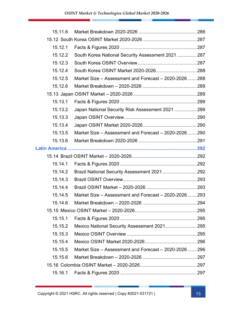| 15.11.6 |                                                        |  |
|---------|--------------------------------------------------------|--|
|         |                                                        |  |
| 15.12.1 |                                                        |  |
| 15.12.2 | South Korea National Security Assessment 2021  287     |  |
| 15.12.3 |                                                        |  |
| 15.12.4 |                                                        |  |
| 15.12.5 | Market Size – Assessment and Forecast – 2020-2026  288 |  |
| 15.12.6 |                                                        |  |
|         |                                                        |  |
| 15.13.1 |                                                        |  |
| 15.13.2 | Japan National Security Risk Assessment 2021  289      |  |
| 15.13.3 |                                                        |  |
| 15.13.4 |                                                        |  |
| 15.13.5 | Market Size – Assessment and Forecast – 2020-2026290   |  |
| 15.13.6 |                                                        |  |
|         |                                                        |  |
|         |                                                        |  |
| 15.14.1 |                                                        |  |
| 15.14.2 | Brazil National Security Assessment 2021292            |  |
| 15.14.3 |                                                        |  |
| 15.14.4 |                                                        |  |
| 15.14.5 | Market Size – Assessment and Forecast – 2020-2026  293 |  |
| 15.14.6 |                                                        |  |
|         |                                                        |  |
| 15.15.1 |                                                        |  |
| 15.15.2 | Mexico National Security Assessment 2021295            |  |
| 15.15.3 |                                                        |  |
| 15.15.4 |                                                        |  |
| 15.15.5 | Market Size – Assessment and Forecast – 2020-2026  296 |  |
| 15.15.6 |                                                        |  |
|         |                                                        |  |
| 15.16.1 |                                                        |  |
|         |                                                        |  |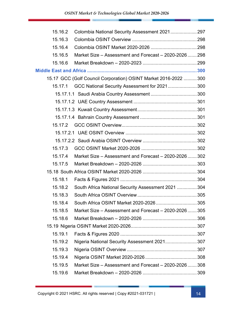| 15.16.2 | Colombia National Security Assessment 2021 297                   |  |
|---------|------------------------------------------------------------------|--|
| 15.16.3 |                                                                  |  |
| 15.16.4 |                                                                  |  |
| 15.16.5 | Market Size – Assessment and Forecast – 2020-2026  298           |  |
| 15.16.6 |                                                                  |  |
|         |                                                                  |  |
|         | 15.17 GCC (Golf Council Corporation) OSINT Market 2016-2022  300 |  |
|         | 15.17.1 GCC National Security Assessment for 2021 300            |  |
|         |                                                                  |  |
|         |                                                                  |  |
|         |                                                                  |  |
|         |                                                                  |  |
|         |                                                                  |  |
|         |                                                                  |  |
|         |                                                                  |  |
| 15.17.3 |                                                                  |  |
| 15.17.4 | Market Size – Assessment and Forecast – 2020-2026  302           |  |
| 15.17.5 |                                                                  |  |
|         |                                                                  |  |
| 15.18.1 |                                                                  |  |
| 15.18.2 | South Africa National Security Assessment 2021  304              |  |
| 15.18.3 |                                                                  |  |
| 15.18.4 |                                                                  |  |
| 15.18.5 | Market Size – Assessment and Forecast – 2020-2026  305           |  |
| 15.18.6 |                                                                  |  |
|         |                                                                  |  |
| 15.19.1 |                                                                  |  |
| 15.19.2 | Nigeria National Security Assessment 2021 307                    |  |
| 15.19.3 |                                                                  |  |
| 15.19.4 |                                                                  |  |
| 15.19.5 | Market Size - Assessment and Forecast - 2020-2026  308           |  |
| 15.19.6 |                                                                  |  |
|         |                                                                  |  |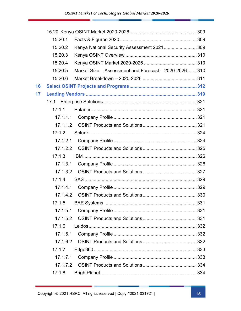|    | 15.20.1  |                                                        |  |
|----|----------|--------------------------------------------------------|--|
|    | 15.20.2  | Kenya National Security Assessment 2021 309            |  |
|    | 15.20.3  |                                                        |  |
|    | 15.20.4  |                                                        |  |
|    | 15.20.5  | Market Size - Assessment and Forecast - 2020-2026  310 |  |
|    | 15.20.6  |                                                        |  |
| 16 |          |                                                        |  |
| 17 |          |                                                        |  |
|    |          |                                                        |  |
|    | 17.1.1   |                                                        |  |
|    |          |                                                        |  |
|    |          |                                                        |  |
|    | 17.1.2   |                                                        |  |
|    |          |                                                        |  |
|    |          |                                                        |  |
|    | 17.1.3   |                                                        |  |
|    |          |                                                        |  |
|    |          |                                                        |  |
|    | 17.1.4   |                                                        |  |
|    |          |                                                        |  |
|    |          |                                                        |  |
|    |          |                                                        |  |
|    | 17.1.5.1 |                                                        |  |
|    | 17.1.5.2 |                                                        |  |
|    | 17.1.6   |                                                        |  |
|    | 17.1.6.1 |                                                        |  |
|    | 17.1.6.2 |                                                        |  |
|    | 17.1.7   |                                                        |  |
|    | 17.1.7.1 |                                                        |  |
|    | 17.1.7.2 |                                                        |  |
|    | 17.1.8   |                                                        |  |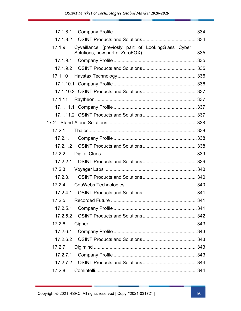| 17.1.8.1 |                                                   |  |
|----------|---------------------------------------------------|--|
| 17.1.8.2 |                                                   |  |
| 17.1.9   | Cyveillance (previosly part of LookingGlass Cyber |  |
| 17.1.9.1 |                                                   |  |
|          |                                                   |  |
| 17.1.10  |                                                   |  |
|          |                                                   |  |
|          |                                                   |  |
| 17.1.11  |                                                   |  |
|          |                                                   |  |
|          |                                                   |  |
|          |                                                   |  |
| 17.2.1   |                                                   |  |
|          |                                                   |  |
|          |                                                   |  |
| 17.2.2   |                                                   |  |
|          |                                                   |  |
| 17.2.3   |                                                   |  |
| 17.2.3.1 |                                                   |  |
| 17.2.4   |                                                   |  |
| 17.2.4.1 |                                                   |  |
| 17.2.5   |                                                   |  |
| 17.2.5.1 |                                                   |  |
|          |                                                   |  |
| 17.2.6   |                                                   |  |
| 17.2.6.1 |                                                   |  |
|          |                                                   |  |
| 17.2.7   |                                                   |  |
| 17.2.7.1 |                                                   |  |
|          |                                                   |  |
| 17.2.8   |                                                   |  |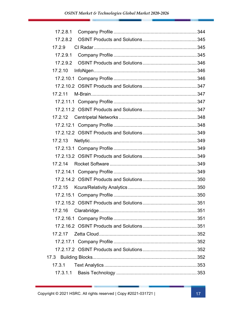| 17.2.8.2 |  |
|----------|--|
| 17.2.9   |  |
|          |  |
|          |  |
| 17.2.10  |  |
|          |  |
|          |  |
| 17.2.11  |  |
|          |  |
|          |  |
|          |  |
|          |  |
|          |  |
|          |  |
|          |  |
|          |  |
|          |  |
|          |  |
|          |  |
|          |  |
|          |  |
|          |  |
| 17.2.16  |  |
|          |  |
|          |  |
| 17.2.17  |  |
|          |  |
|          |  |
| 17.3     |  |
| 17.3.1   |  |
| 17.3.1.1 |  |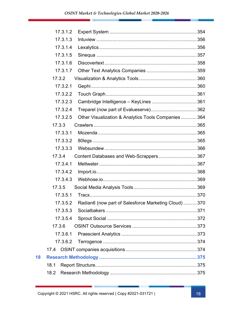| 17.3.1.2 |                                                       |  |
|----------|-------------------------------------------------------|--|
| 17.3.1.3 |                                                       |  |
| 17.3.1.4 |                                                       |  |
| 17.3.1.5 |                                                       |  |
| 17.3.1.6 |                                                       |  |
| 17.3.1.7 |                                                       |  |
| 17.3.2   |                                                       |  |
| 17.3.2.1 |                                                       |  |
| 17.3.2.2 |                                                       |  |
| 17.3.2.3 |                                                       |  |
| 17.3.2.4 |                                                       |  |
| 17.3.2.5 | Other Visualization & Analytics Tools Companies  364  |  |
| 17.3.3   |                                                       |  |
| 17.3.3.1 |                                                       |  |
| 17.3.3.2 |                                                       |  |
| 17.3.3.3 |                                                       |  |
| 17.3.4   | Content Databases and Web-Scrappers 367               |  |
| 17.3.4.1 |                                                       |  |
| 17.3.4.2 |                                                       |  |
| 17.3.4.3 |                                                       |  |
| 17.3.5   |                                                       |  |
| 17.3.5.1 |                                                       |  |
| 17.3.5.2 | Radian6 (now part of Salesforce Marketing Cloud)  370 |  |
| 17.3.5.3 |                                                       |  |
| 17.3.5.4 |                                                       |  |
| 17.3.6   |                                                       |  |
| 17.3.6.1 |                                                       |  |
| 17.3.6.2 |                                                       |  |
|          |                                                       |  |
|          |                                                       |  |
| 18.1     |                                                       |  |
| 18.2     |                                                       |  |

18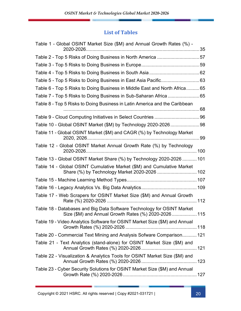#### List of Tables

| Table 1 - Global OSINT Market Size (\$M) and Annual Growth Rates (%) -                                                         |  |
|--------------------------------------------------------------------------------------------------------------------------------|--|
|                                                                                                                                |  |
| Table 2 - Top 5 Risks of Doing Business in North America 57                                                                    |  |
|                                                                                                                                |  |
|                                                                                                                                |  |
|                                                                                                                                |  |
| Table 6 - Top 5 Risks to Doing Business in Middle East and North Africa65                                                      |  |
|                                                                                                                                |  |
| Table 8 - Top 5 Risks to Doing Business in Latin America and the Caribbean                                                     |  |
|                                                                                                                                |  |
|                                                                                                                                |  |
| Table 11 - Global OSINT Market (\$M) and CAGR (%) by Technology Market                                                         |  |
| Table 12 - Global OSINT Market Annual Growth Rate (%) by Technology                                                            |  |
| Table 13 - Global OSINT Market Share (%) by Technology 2020-2026  101                                                          |  |
| Table 14 - Global OSINT Cumulative Market (\$M) and Cumulative Market                                                          |  |
|                                                                                                                                |  |
|                                                                                                                                |  |
| Table 17 - Web Scrapers for OSINT Market Size (\$M) and Annual Growth                                                          |  |
| Table 18 - Databases and Big Data Software Technology for OSINT Market<br>Size (\$M) and Annual Growth Rates (%) 2020-2026 115 |  |
| Table 19 - Video Analytics Software for OSINT Market Size (\$M) and Annual                                                     |  |
| Table 20 - Commercial Text Mining and Analysis Sofware Comparison 121                                                          |  |
| Table 21 - Text Analytics (stand-alone) for OSINT Market Size (\$M) and                                                        |  |
| Table 22 - Visualization & Analytics Tools for OSINT Market Size (\$M) and                                                     |  |
| Table 23 - Cyber Security Solutions for OSINT Market Size (\$M) and Annual                                                     |  |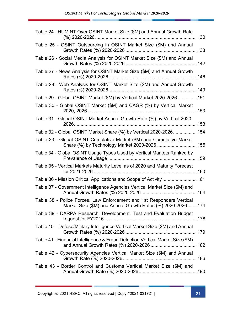| Table 24 - HUMINT Over OSINT Market Size (\$M) and Annual Growth Rate                                                                |  |
|--------------------------------------------------------------------------------------------------------------------------------------|--|
| Table 25 - OSINT Outsourcing in OSINT Market Size (\$M) and Annual                                                                   |  |
| Table 26 - Social Media Analysis for OSINT Market Size (\$M) and Annual                                                              |  |
| Table 27 - News Analysis for OSINT Market Size (\$M) and Annual Growth                                                               |  |
| Table 28 - Web Analysis for OSINT Market Size (\$M) and Annual Growth                                                                |  |
| Table 29 - Global OSINT Market (\$M) by Vertical Market 2020-2026 151                                                                |  |
| Table 30 - Global OSINT Market (\$M) and CAGR (%) by Vertical Market                                                                 |  |
| Table 31 - Global OSINT Market Annual Growth Rate (%) by Vertical 2020-                                                              |  |
| Table 32 - Global OSINT Market Share (%) by Vertical 2020-2026 154                                                                   |  |
| Table 33 - Global OSINT Cumulative Market (\$M) and Cumulative Market<br>Share (%) by Technology Market 2020-2026  155               |  |
| Table 34 - Global OSINT Usage Types Used by Vertical Markets Ranked by                                                               |  |
| Table 35 - Vertical Markets Maturity Level as of 2020 and Maturity Forecast                                                          |  |
| Table 36 - Mission Critical Applications and Scope of Activity  161                                                                  |  |
| Table 37 - Government Intelligence Agencies Vertical Market Size (\$M) and                                                           |  |
| Table 38 - Police Forces, Law Enforcement and 1st Responders Vertical<br>Market Size (\$M) and Annual Growth Rates (%) 2020-2026 174 |  |
| Table 39 - DARPA Research, Development, Test and Evaluation Budget                                                                   |  |
| Table 40 - Defese/Military Intelligence Vertical Market Size (\$M) and Annual                                                        |  |
| Table 41 - Financial Intelligence & Fraud Detection Vertical Market Size (\$M)                                                       |  |
| Table 42 - Cybersecurity Agencies Vertical Market Size (\$M) and Annual                                                              |  |
| Table 43 - Border Control and Customs Vertical Market Size (\$M) and                                                                 |  |
|                                                                                                                                      |  |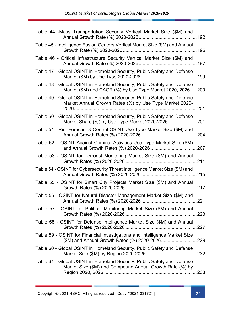| Table 44 -Mass Transportation Security Vertical Market Size (\$M) and                                                                  |  |
|----------------------------------------------------------------------------------------------------------------------------------------|--|
| Table 45 - Intelligence Fusion Centers Vertical Market Size (\$M) and Annual                                                           |  |
| Table 46 - Critical Infrastructure Security Vertical Market Size (\$M) and                                                             |  |
| Table 47 - Global OSINT in Homeland Security, Public Safety and Defense                                                                |  |
| Table 48 - Global OSINT in Homeland Security, Public Safety and Defense<br>Market (\$M) and CAGR (%) by Use Type Market 2020, 2026 200 |  |
| Table 49 - Global OSINT in Homeland Security, Public Safety and Defense<br>Market Annual Growth Rates (%) by Use Type Market 2020-     |  |
| Table 50 - Global OSINT in Homeland Security, Public Safety and Defense                                                                |  |
| Table 51 - Riot Forecast & Control OSINT Use Type Market Size (\$M) and                                                                |  |
| Table 52 - OSINT Against Criminal Activities Use Type Market Size (\$M)                                                                |  |
| Table 53 - OSINT for Terrorist Monitoring Market Size (\$M) and Annual                                                                 |  |
| Table 54 - OSINT for Cybersecurity Threat Intelligence Market Size (\$M) and                                                           |  |
| Table 55 - OSINT for Smart City Projects Market Size (\$M) and Annual                                                                  |  |
| Table 56 - OSINT for Natural Disaster Management Market Size (\$M) and                                                                 |  |
| Table 57 - OSINT for Political Monitoring Market Size (\$M) and Annual                                                                 |  |
| Table 58 - OSINT for Defense Intelligence Market Size (\$M) and Annual                                                                 |  |
| Table 59 - OSINT for Financial Investigations and Intelligence Market Size                                                             |  |
| Table 60 - Global OSINT in Homeland Security, Public Safety and Defense                                                                |  |
| Table 61 - Global OSINT in Homeland Security, Public Safety and Defense<br>Market Size (\$M) and Compound Annual Growth Rate (%) by    |  |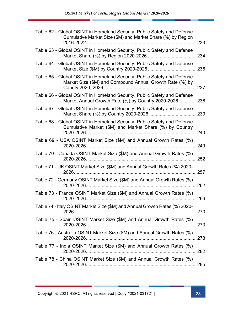| Table 62 - Global OSINT in Homeland Security, Public Safety and Defense<br>Cumulative Market Size (\$M) and Market Share (%) by Region |       |
|----------------------------------------------------------------------------------------------------------------------------------------|-------|
| Table 63 - Global OSINT in Homeland Security, Public Safety and Defense                                                                |       |
| Table 64 - Global OSINT in Homeland Security, Public Safety and Defense                                                                |       |
| Table 65 - Global OSINT in Homeland Security, Public Safety and Defense<br>Market Size (\$M) and Compound Annual Growth Rate (%) by    |       |
| Table 66 - Global OSINT in Homeland Security, Public Safety and Defense<br>Market Annual Growth Rate (%) by Country 2020-2026238       |       |
| Table 67 - Global OSINT in Homeland Security, Public Safety and Defense                                                                |       |
| Table 68 - Global OSINT in Homeland Security, Public Safety and Defense<br>Cumulative Market (\$M) and Market Share (%) by Country     |       |
| Table 69 - USA OSINT Market Size (\$M) and Annual Growth Rates (%)                                                                     | 249   |
| Table 70 - Canada OSINT Market Size (\$M) and Annual Growth Rates (%)                                                                  |       |
| Table 71 - UK OSINT Market Size (\$M) and Annual Growth Rates (%) 2020-                                                                | .257  |
| Table 72 - Germany OSINT Market Size (\$M) and Annual Growth Rates (%)                                                                 | . 262 |
| Table 73 - France OSINT Market Size (\$M) and Annual Growth Rates (%)                                                                  |       |
| Table 74 - Italy OSINT Market Size (\$M) and Annual Growth Rates (%) 2020-                                                             |       |
| Table 75 - Spain OSINT Market Size (\$M) and Annual Growth Rates (%)                                                                   |       |
| Table 76 - Australia OSINT Market Size (\$M) and Annual Growth Rates (%)                                                               |       |
| Table 77 - India OSINT Market Size (\$M) and Annual Growth Rates (%)                                                                   |       |
| Table 78 - China OSINT Market Size (\$M) and Annual Growth Rates (%)                                                                   |       |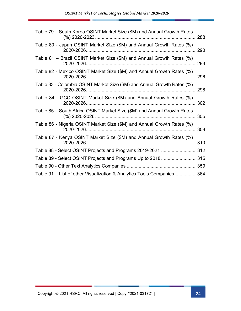| Table 79 - South Korea OSINT Market Size (\$M) and Annual Growth Rates                   | 288 |
|------------------------------------------------------------------------------------------|-----|
| Table 80 - Japan OSINT Market Size (\$M) and Annual Growth Rates (%)                     | 290 |
| Table 81 – Brazil OSINT Market Size (\$M) and Annual Growth Rates (%)                    | 293 |
| Table 82 - Mexico OSINT Market Size (\$M) and Annual Growth Rates (%)<br>2020-2026.      | 296 |
| Table 83 - Colombia OSINT Market Size (\$M) and Annual Growth Rates (%)                  | 298 |
| Table 84 - GCC OSINT Market Size (\$M) and Annual Growth Rates (%)                       | 302 |
| Table 85 – South Africa OSINT Market Size (\$M) and Annual Growth Rates<br>(%) 2020-2026 | 305 |
| Table 86 - Nigeria OSINT Market Size (\$M) and Annual Growth Rates (%)                   | 308 |
| Table 87 - Kenya OSINT Market Size (\$M) and Annual Growth Rates (%)                     | 310 |
| Table 88 - Select OSINT Projects and Programs 2019-2021 312                              |     |
| Table 89 - Select OSINT Projects and Programs Up to 2018315                              |     |
|                                                                                          |     |
| Table 91 - List of other Visualization & Analytics Tools Companies364                    |     |

φ.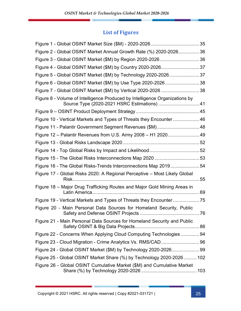#### List of Figures

| Figure 2 - Global OSINT Market Annual Growth Rate (%) 2020-202636           |    |
|-----------------------------------------------------------------------------|----|
|                                                                             |    |
| Figure 4 - Global OSINT Market (\$M) by Country 2020-202637                 |    |
| Figure 5 - Global OSINT Market (\$M) by Technology 2020-202637              |    |
| Figure 6 - Global OSINT Market (\$M) by Use Type 2020-202638                |    |
| Figure 7 - Global OSINT Market (\$M) by Vertical 2020-2026 38               |    |
| Figure 8 - Volume of Intelligence Produced by Intelligence Organizations by |    |
|                                                                             |    |
| Figure 10 - Vertical Markets and Types of Threats they Encounter46          |    |
| Figure 11 - Palantir Government Segment Revenues (\$M)48                    |    |
| Figure 12 - Palantir Revenues from U.S. Army 2008 - H1 202049               |    |
|                                                                             |    |
|                                                                             |    |
|                                                                             |    |
| Figure 16 - The Global Risks-Trends Interconnections Map 201954             |    |
| Figure 17 - Global Risks 2020: A Regional Perceptive - Most Likely Global   | 55 |
| Figure 18 - Major Drug Trafficking Routes and Major Gold Mining Areas in    |    |
|                                                                             |    |
| Figure 20 - Main Personal Data Sources for Homeland Security, Public        |    |
| Figure 21 - Main Personal Data Sources for Homeland Security and Public     |    |
| Figure 22 - Concerns When Applying Cloud Computing Technologies 94          |    |
|                                                                             |    |
|                                                                             |    |
| Figure 25 - Global OSINT Market Share (%) by Technology 2020-2026102        |    |
| Figure 26 - Global OSINT Cumulative Market (\$M) and Cumulative Market      |    |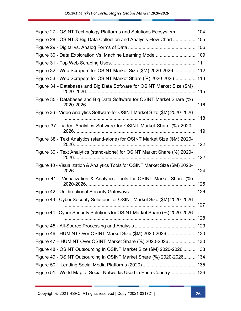| Figure 27 - OSINT Technology Platforms and Solutions Ecosystem 104            |  |
|-------------------------------------------------------------------------------|--|
| Figure 28 - OSINT & Big Data Collection and Analysis Flow Chart  105          |  |
|                                                                               |  |
| Figure 30 - Data Exploration Vs. Machine Learning Model 109                   |  |
|                                                                               |  |
| Figure 32 - Web Scrapers for OSINT Market Size (\$M) 2020-2026 112            |  |
| Figure 33 - Web Scrapers for OSINT Market Share (%) 2020-2026 113             |  |
| Figure 34 - Databases and Big Data Software for OSINT Market Size (\$M)       |  |
| Figure 35 - Databases and Big Data Software for OSINT Market Share (%)        |  |
| Figure 36 - Video Analytics Software for OSINT Market Size (\$M) 2020-2026    |  |
| Figure 37 - Video Analytics Software for OSINT Market Share (%) 2020-         |  |
| Figure 38 - Text Analytics (stand-alone) for OSINT Market Size (\$M) 2020-    |  |
| Figure 39 - Text Analytics (stand-alone) for OSINT Market Share (%) 2020-     |  |
| Figure 40 - Visualization & Analytics Tools for OSINT Market Size (\$M) 2020- |  |
| Figure 41 - Visualization & Analytics Tools for OSINT Market Share (%)        |  |
|                                                                               |  |
| Figure 43 - Cyber Security Solutions for OSINT Market Size (\$M) 2020-2026    |  |
| Figure 44 - Cyber Security Solutions for OSINT Market Share (%) 2020-2026     |  |
|                                                                               |  |
| Figure 46 - HUMINT Over OSINT Market Size (\$M) 2020-2026 130                 |  |
| Figure 47 - HUMINT Over OSINT Market Share (%) 2020-2026  130                 |  |
| Figure 48 - OSINT Outsourcing in OSINT Market Size (\$M) 2020-2026  133       |  |
| Figure 49 - OSINT Outsourcing in OSINT Market Share (%) 2020-2026 134         |  |
|                                                                               |  |
| Figure 51 - World Map of Social Networks Used in Each Country 136             |  |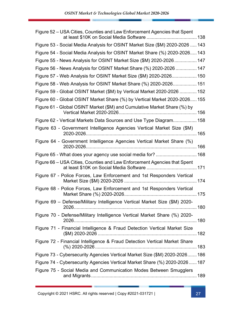| Figure 52 – USA Cities, Counties and Law Enforcement Agencies that Spent     |  |
|------------------------------------------------------------------------------|--|
| Figure 53 - Social Media Analysis for OSINT Market Size (\$M) 2020-2026  143 |  |
| Figure 54 - Social Media Analysis for OSINT Market Share (%) 2020-2026 143   |  |
| Figure 55 - News Analysis for OSINT Market Size (\$M) 2020-2026  147         |  |
| Figure 56 - News Analysis for OSINT Market Share (%) 2020-2026  147          |  |
| Figure 57 - Web Analysis for OSINT Market Size (\$M) 2020-2026 150           |  |
| Figure 58 - Web Analysis for OSINT Market Share (%) 2020-2026 151            |  |
| Figure 59 - Global OSINT Market (\$M) by Vertical Market 2020-2026  152      |  |
| Figure 60 - Global OSINT Market Share (%) by Vertical Market 2020-2026 155   |  |
| Figure 61 - Global OSINT Market (\$M) and Cumulative Market Share (%) by     |  |
| Figure 62 - Vertical Markets Data Sources and Use Type Diagram 158           |  |
| Figure 63 - Government Intelligence Agencies Vertical Market Size (\$M)      |  |
| Figure 64 - Government Intelligence Agencies Vertical Market Share (%)       |  |
| Figure 65 - What does your agency use social media for?  168                 |  |
| Figure 66 – USA Cities, Counties and Law Enforcement Agencies that Spent     |  |
| Figure 67 - Police Forces, Law Enforcement and 1st Responders Vertical       |  |
| Figure 68 - Police Forces, Law Enforcement and 1st Responders Vertical       |  |
| Figure 69 - Defense/Military Intelligence Vertical Market Size (\$M) 2020-   |  |
| Figure 70 - Defense/Military Intelligence Vertical Market Share (%) 2020-    |  |
| Figure 71 - Financial Intelligence & Fraud Detection Vertical Market Size    |  |
| Figure 72 - Financial Intelligence & Fraud Detection Vertical Market Share   |  |
| Figure 73 - Cybersecurity Agencies Vertical Market Size (\$M) 2020-2026 186  |  |
| Figure 74 - Cybersecurity Agencies Vertical Market Share (%) 2020-2026 187   |  |
| Figure 75 - Social Media and Communication Modes Between Smugglers           |  |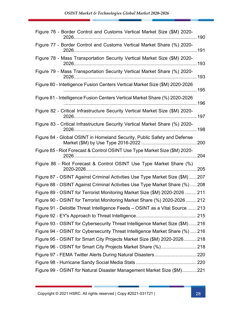| Figure 76 - Border Control and Customs Vertical Market Size (\$M) 2020-       |
|-------------------------------------------------------------------------------|
| Figure 77 - Border Control and Customs Vertical Market Share (%) 2020-        |
| Figure 78 - Mass Transportation Security Vertical Market Size (\$M) 2020-     |
| Figure 79 - Mass Transportation Security Vertical Market Share (%) 2020-      |
| Figure 80 - Intelligence Fusion Centers Vertical Market Size (\$M) 2020-2026  |
| Figure 81 - Intelligence Fusion Centers Vertical Market Share (%) 2020-2026   |
| Figure 82 - Critical Infrastructure Security Vertical Market Size (\$M) 2020- |
| Figure 83 - Critical Infrastructure Security Vertical Market Share (%) 2020-  |
| Figure 84 - Global OSINT in Homeland Security, Public Safety and Defense      |
| Figure 85 - Riot Forecast & Control OSINT Use Type Market Size (\$M) 2020-    |
| Figure 86 - Riot Forecast & Control OSINT Use Type Market Share (%)           |
| Figure 87 - OSINT Against Criminal Activities Use Type Market Size (\$M)207   |
| Figure 88 - OSINT Against Criminal Activities Use Type Market Share (%)  208  |
| Figure 89 - OSINT for Terrorist Monitoring Market Size (\$M) 2020-2026  211   |
| Figure 90 - OSINT for Terrorist Monitoring Market Share (%) 2020-2026 212     |
| Figure 91 - Deloitte Threat Intelligence Feeds - OSINT as a Vital Source 213  |
|                                                                               |
| Figure 93 - OSINT for Cybersecurity Threat Intelligence Market Size (\$M)216  |
| Figure 94 - OSINT for Cybersecurity Threat Intelligence Market Share (%)  216 |
| Figure 95 - OSINT for Smart City Projects Market Size (\$M) 2020-2026218      |
| Figure 96 - OSINT for Smart City Projects Market Share (%)218                 |
| Figure 97 - FEMA Twitter Alerts During Natural Disasters220                   |
|                                                                               |
| Figure 99 - OSINT for Natural Disaster Management Market Size (\$M)221        |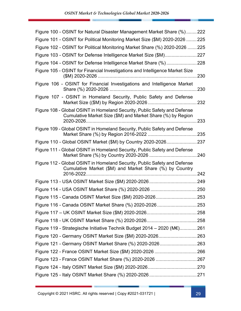| Figure 100 - OSINT for Natural Disaster Management Market Share (%)222                                                                   |  |
|------------------------------------------------------------------------------------------------------------------------------------------|--|
| Figure 101 - OSINT for Political Monitoring Market Size (\$M) 2020-2026  225                                                             |  |
| Figure 102 - OSINT for Political Monitoring Market Share (%) 2020-2026  225                                                              |  |
| Figure 103 - OSINT for Defense Intelligence Market Size (\$M)227                                                                         |  |
| Figure 104 - OSINT for Defense Intelligence Market Share (%)228                                                                          |  |
| Figure 105 - OSINT for Financial Investigations and Intelligence Market Size                                                             |  |
| Figure 106 - OSINT for Financial Investigations and Intelligence Market                                                                  |  |
| Figure 107 - OSINT in Homeland Security, Public Safety and Defense                                                                       |  |
| Figure 108 - Global OSINT in Homeland Security, Public Safety and Defense<br>Cumulative Market Size (\$M) and Market Share (%) by Region |  |
| Figure 109 - Global OSINT in Homeland Security, Public Safety and Defense                                                                |  |
| Figure 110 - Global OSINT Market (\$M) by Country 2020-2026237                                                                           |  |
| Figure 111 - Global OSINT in Homeland Security, Public Safety and Defense                                                                |  |
| Figure 112 - Global OSINT in Homeland Security, Public Safety and Defense<br>Cumulative Market (\$M) and Market Share (%) by Country     |  |
|                                                                                                                                          |  |
|                                                                                                                                          |  |
|                                                                                                                                          |  |
| Figure 116 - Canada OSINT Market Share (%) 2020-2026 253                                                                                 |  |
|                                                                                                                                          |  |
|                                                                                                                                          |  |
| Figure 119 - Strategische Initiative Technik Budget 2014 - 2020 (M€)261                                                                  |  |
|                                                                                                                                          |  |
|                                                                                                                                          |  |
|                                                                                                                                          |  |
|                                                                                                                                          |  |
|                                                                                                                                          |  |
|                                                                                                                                          |  |